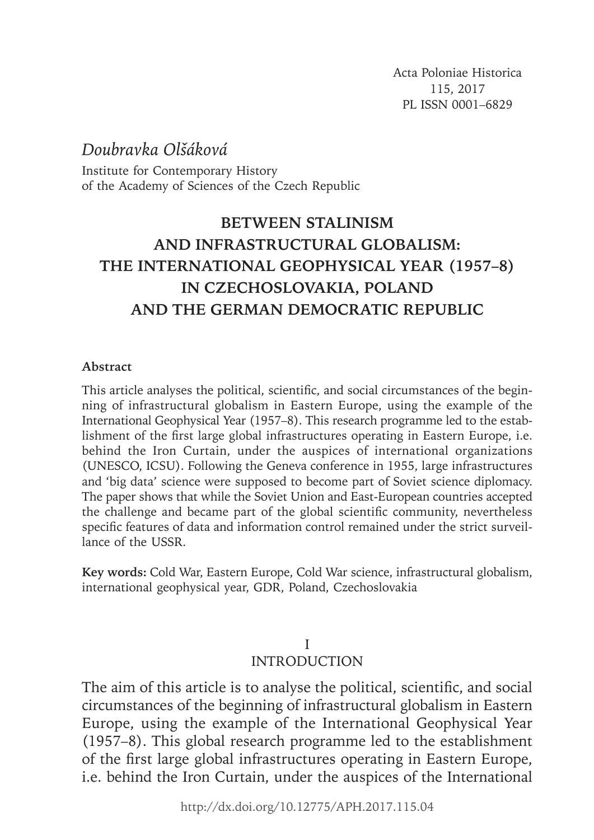Acta Poloniae Historica 115, 2017 PL ISSN 0001–6829

# *Doubravka Olšáková*

Institute for Contemporary History of the Academy of Sciences of the Czech Republic

# **BETWEEN STALINISM AND INFRASTRUCTURAL GLOBALISM: THE INTERNATIONAL GEOPHYSICAL YEAR (1957–8) IN CZECHOSLOVAKIA, POLAND AND THE GERMAN DEMOCRATIC REPUBLIC**

### **Abstract**

This article analyses the political, scientific, and social circumstances of the beginning of infrastructural globalism in Eastern Europe, using the example of the International Geophysical Year (1957–8). This research programme led to the establishment of the first large global infrastructures operating in Eastern Europe, i.e. behind the Iron Curtain, under the auspices of international organizations (UNESCO, ICSU). Following the Geneva conference in 1955, large infrastructures and 'big data' science were supposed to become part of Soviet science diplomacy. The paper shows that while the Soviet Union and East-European countries accepted the challenge and became part of the global scientific community, nevertheless specific features of data and information control remained under the strict surveillance of the USSR.

**Key words:** Cold War, Eastern Europe, Cold War science, infrastructural globalism, international geophysical year, GDR, Poland, Czechoslovakia

# I

# **INTRODUCTION**

The aim of this article is to analyse the political, scientific, and social circumstances of the beginning of infrastructural globalism in Eastern Europe, using the example of the International Geophysical Year (1957–8). This global research programme led to the establishment of the first large global infrastructures operating in Eastern Europe, i.e. behind the Iron Curtain, under the auspices of the International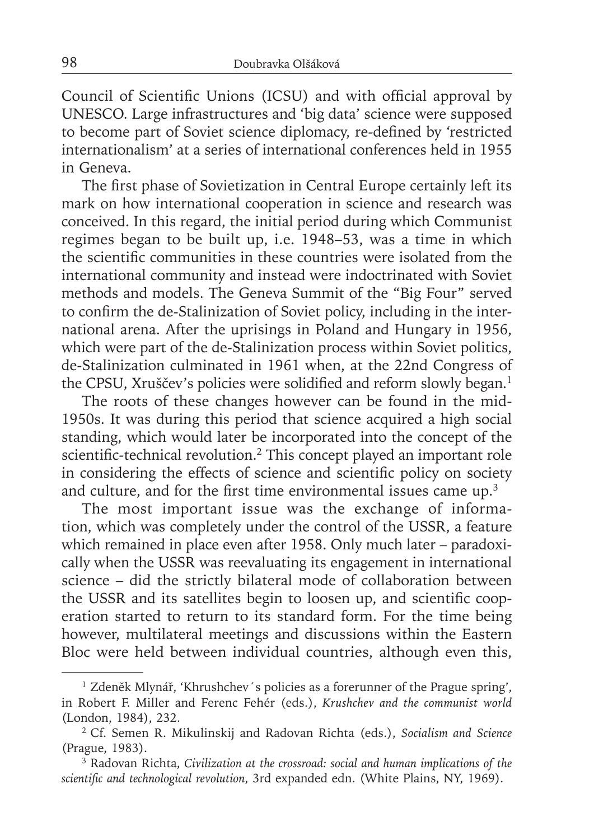Council of Scientific Unions (ICSU) and with official approval by UNESCO. Large infrastructures and 'big data' science were supposed to become part of Soviet science diplomacy, re-defined by 'restricted internationalism' at a series of international conferences held in 1955 in Geneva.

The first phase of Sovietization in Central Europe certainly left its mark on how international cooperation in science and research was conceived. In this regard, the initial period during which Communist regimes began to be built up, i.e. 1948–53, was a time in which the scientific communities in these countries were isolated from the international community and instead were indoctrinated with Soviet methods and models. The Geneva Summit of the "Big Four" served to confirm the de-Stalinization of Soviet policy, including in the international arena. After the uprisings in Poland and Hungary in 1956, which were part of the de-Stalinization process within Soviet politics, de-Stalinization culminated in 1961 when, at the 22nd Congress of the CPSU, Xruščev's policies were solidified and reform slowly began.<sup>1</sup>

The roots of these changes however can be found in the mid-1950s. It was during this period that science acquired a high social standing, which would later be incorporated into the concept of the scientific-technical revolution.<sup>2</sup> This concept played an important role in considering the effects of science and scientific policy on society and culture, and for the first time environmental issues came up.<sup>3</sup>

The most important issue was the exchange of information, which was completely under the control of the USSR, a feature which remained in place even after 1958. Only much later – paradoxically when the USSR was reevaluating its engagement in international science – did the strictly bilateral mode of collaboration between the USSR and its satellites begin to loosen up, and scientific cooperation started to return to its standard form. For the time being however, multilateral meetings and discussions within the Eastern Bloc were held between individual countries, although even this,

<sup>&</sup>lt;sup>1</sup> Zdeněk Mlynář, 'Khrushchev's policies as a forerunner of the Prague spring', in Robert F. Miller and Ferenc Fehér (eds.), *Krushchev and the communist world* (London, 1984), 232.

<sup>2</sup> Cf. Semen R. Mikulinskij and Radovan Richta (eds.), *Socialism and Science* (Prague, 1983).

<sup>3</sup> Radovan Richta, *Civilization at the crossroad: social and human implications of the*  scientific and technological revolution, 3rd expanded edn. (White Plains, NY, 1969).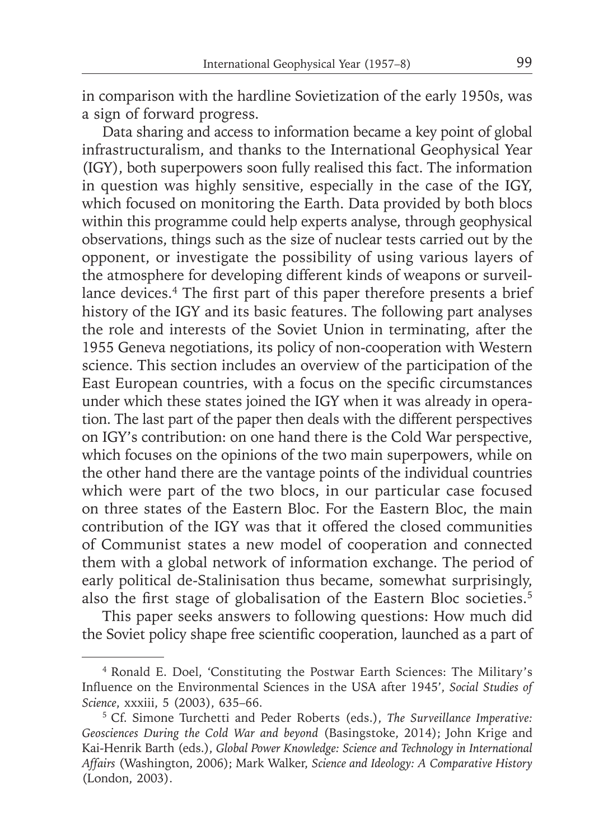in comparison with the hardline Sovietization of the early 1950s, was a sign of forward progress.

Data sharing and access to information became a key point of global infrastructuralism, and thanks to the International Geophysical Year (IGY), both superpowers soon fully realised this fact. The information in question was highly sensitive, especially in the case of the IGY, which focused on monitoring the Earth. Data provided by both blocs within this programme could help experts analyse, through geophysical observations, things such as the size of nuclear tests carried out by the opponent, or investigate the possibility of using various layers of the atmosphere for developing different kinds of weapons or surveillance devices.<sup>4</sup> The first part of this paper therefore presents a brief history of the IGY and its basic features. The following part analyses the role and interests of the Soviet Union in terminating, after the 1955 Geneva negotiations, its policy of non-cooperation with Western science. This section includes an overview of the participation of the East European countries, with a focus on the specific circumstances under which these states joined the IGY when it was already in operation. The last part of the paper then deals with the different perspectives on IGY's contribution: on one hand there is the Cold War perspective, which focuses on the opinions of the two main superpowers, while on the other hand there are the vantage points of the individual countries which were part of the two blocs, in our particular case focused on three states of the Eastern Bloc. For the Eastern Bloc, the main contribution of the IGY was that it offered the closed communities of Communist states a new model of cooperation and connected them with a global network of information exchange. The period of early political de-Stalinisation thus became, somewhat surprisingly, also the first stage of globalisation of the Eastern Bloc societies.<sup>5</sup>

This paper seeks answers to following questions: How much did the Soviet policy shape free scientific cooperation, launched as a part of

<sup>4</sup> Ronald E. Doel, 'Constituting the Postwar Earth Sciences: The Military's Influence on the Environmental Sciences in the USA after 1945', *Social Studies of Science*, xxxiii, 5 (2003), 635–66.

<sup>5</sup> Cf. Simone Turchetti and Peder Roberts (eds.), *The Surveillance Imperative: Geosciences During the Cold War and beyond* (Basingstoke, 2014); John Krige and Kai-Henrik Barth (eds.), *Global Power Knowledge: Science and Technology in International Affairs* (Washington, 2006); Mark Walker, *Science and Ideology: A Comparative History* (London, 2003).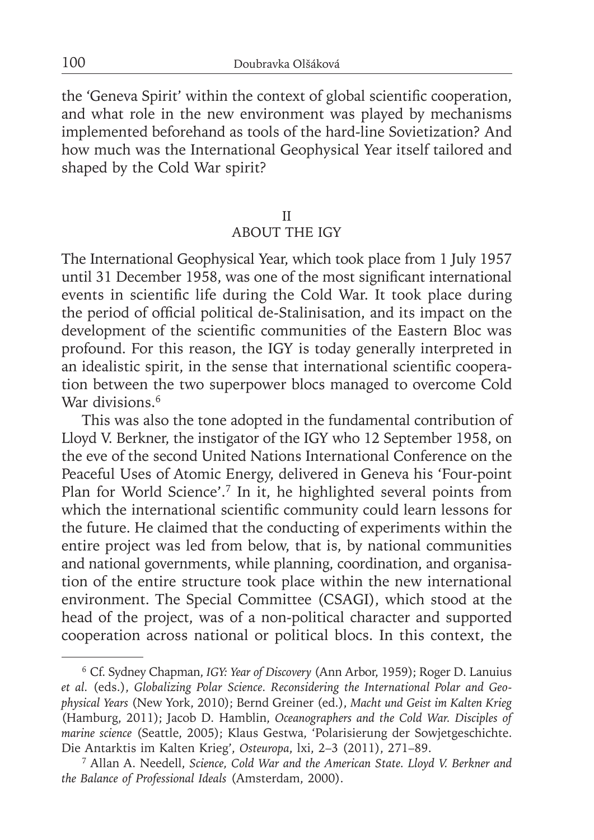the 'Geneva Spirit' within the context of global scientific cooperation, and what role in the new environment was played by mechanisms implemented beforehand as tools of the hard-line Sovietization? And how much was the International Geophysical Year itself tailored and shaped by the Cold War spirit?

### II

### ABOUT THE IGY

The International Geophysical Year, which took place from 1 July 1957 until 31 December 1958, was one of the most significant international events in scientific life during the Cold War. It took place during the period of official political de-Stalinisation, and its impact on the development of the scientific communities of the Eastern Bloc was profound. For this reason, the IGY is today generally interpreted in an idealistic spirit, in the sense that international scientific cooperation between the two superpower blocs managed to overcome Cold War divisions.<sup>6</sup>

This was also the tone adopted in the fundamental contribution of Lloyd V. Berkner, the instigator of the IGY who 12 September 1958, on the eve of the second United Nations International Conference on the Peaceful Uses of Atomic Energy, delivered in Geneva his 'Four-point Plan for World Science'.7 In it, he highlighted several points from which the international scientific community could learn lessons for the future. He claimed that the conducting of experiments within the entire project was led from below, that is, by national communities and national governments, while planning, coordination, and organisation of the entire structure took place within the new international environment. The Special Committee (CSAGI), which stood at the head of the project, was of a non-political character and supported cooperation across national or political blocs. In this context, the

<sup>6</sup> Cf. Sydney Chapman, *IGY: Year of Discovery* (Ann Arbor, 1959); Roger D. Lanuius *et al.* (eds.), *Globalizing Polar Science. Reconsidering the International Polar and Geophysical Years* (New York, 2010); Bernd Greiner (ed.), *Macht und Geist im Kalten Krieg* (Hamburg, 2011); Jacob D. Hamblin, *Oceanographers and the Cold War. Disciples of marine science* (Seattle, 2005); Klaus Gestwa, 'Polarisierung der Sowjetgeschichte. Die Antarktis im Kalten Krieg', *Osteuropa*, lxi, 2–3 (2011), 271–89.

<sup>7</sup> Allan A. Needell, *Science, Cold War and the American State. Lloyd V. Berkner and the Balance of Professional Ideals* (Amsterdam, 2000).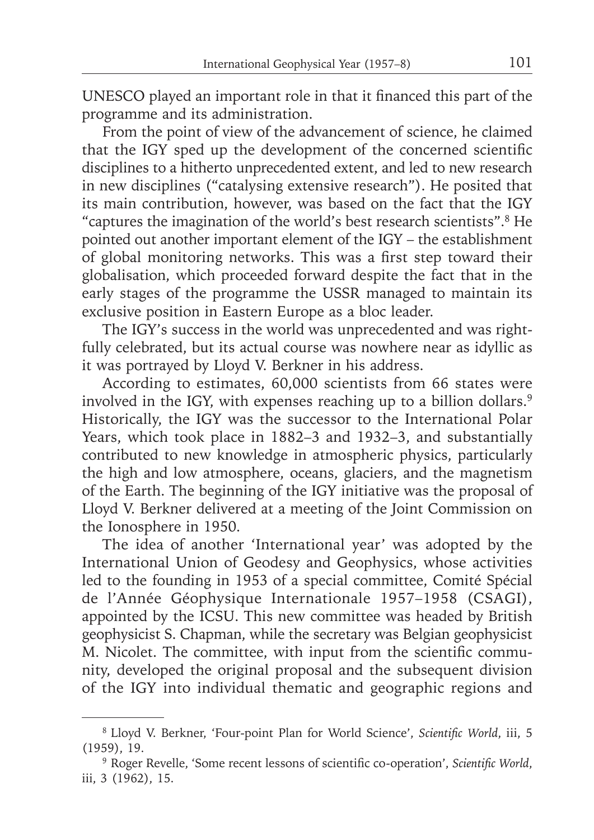UNESCO played an important role in that it financed this part of the programme and its administration.

From the point of view of the advancement of science, he claimed that the IGY sped up the development of the concerned scientific disciplines to a hitherto unprecedented extent, and led to new research in new disciplines ("catalysing extensive research"). He posited that its main contribution, however, was based on the fact that the IGY "captures the imagination of the world's best research scientists".8 He pointed out another important element of the IGY – the establishment of global monitoring networks. This was a first step toward their globalisation, which proceeded forward despite the fact that in the early stages of the programme the USSR managed to maintain its exclusive position in Eastern Europe as a bloc leader.

The IGY's success in the world was unprecedented and was rightfully celebrated, but its actual course was nowhere near as idyllic as it was portrayed by Lloyd V. Berkner in his address.

According to estimates, 60,000 scientists from 66 states were involved in the IGY, with expenses reaching up to a billion dollars.<sup>9</sup> Historically, the IGY was the successor to the International Polar Years, which took place in 1882–3 and 1932–3, and substantially contributed to new knowledge in atmospheric physics, particularly the high and low atmosphere, oceans, glaciers, and the magnetism of the Earth. The beginning of the IGY initiative was the proposal of Lloyd V. Berkner delivered at a meeting of the Joint Commission on the Ionosphere in 1950.

The idea of another 'International year' was adopted by the International Union of Geodesy and Geophysics, whose activities led to the founding in 1953 of a special committee, Comité Spécial de l'Année Géophysique Internationale 1957–1958 (CSAGI), appointed by the ICSU. This new committee was headed by British geophysicist S. Chapman, while the secretary was Belgian geophysicist M. Nicolet. The committee, with input from the scientific community, developed the original proposal and the subsequent division of the IGY into individual thematic and geographic regions and

<sup>&</sup>lt;sup>8</sup> Lloyd V. Berkner, 'Four-point Plan for World Science', Scientific World, iii, 5 (1959), 19.

<sup>&</sup>lt;sup>9</sup> Roger Revelle, 'Some recent lessons of scientific co-operation', *Scientific World*, iii, 3 (1962), 15.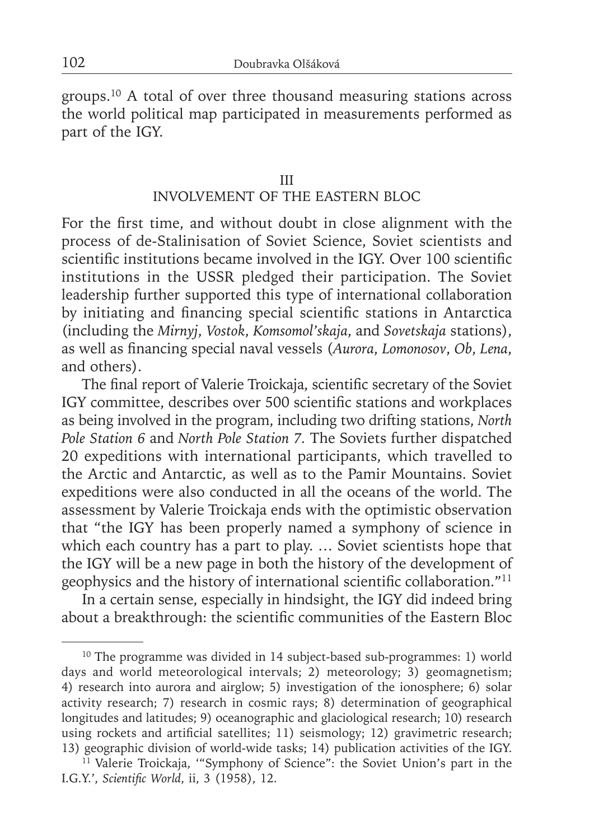groups.10 A total of over three thousand measuring stations across the world political map participated in measurements performed as part of the IGY.

### III

# INVOLVEMENT OF THE EASTERN BLOC

For the first time, and without doubt in close alignment with the process of de-Stalinisation of Soviet Science, Soviet scientists and scientific institutions became involved in the IGY. Over 100 scientific institutions in the USSR pledged their participation. The Soviet leadership further supported this type of international collaboration by initiating and financing special scientific stations in Antarctica (including the *Mirnyj*, *Vostok*, *Komsomol'skaja*, and *Sovetskaja* stations), as well as fi nancing special naval vessels (*Aurora*, *Lomonosov*, *Ob*, *Lena*, and others).

The final report of Valerie Troickaja, scientific secretary of the Soviet IGY committee, describes over 500 scientific stations and workplaces as being involved in the program, including two drifting stations, *North Pole Station 6* and *North Pole Station 7.* The Soviets further dispatched 20 expeditions with international participants, which travelled to the Arctic and Antarctic, as well as to the Pamir Mountains. Soviet expeditions were also conducted in all the oceans of the world. The assessment by Valerie Troickaja ends with the optimistic observation that "the IGY has been properly named a symphony of science in which each country has a part to play. ... Soviet scientists hope that the IGY will be a new page in both the history of the development of geophysics and the history of international scientific collaboration."<sup>11</sup>

In a certain sense, especially in hindsight, the IGY did indeed bring about a breakthrough: the scientific communities of the Eastern Bloc

<sup>&</sup>lt;sup>10</sup> The programme was divided in 14 subject-based sub-programmes: 1) world days and world meteorological intervals; 2) meteorology; 3) geomagnetism; 4) research into aurora and airglow; 5) investigation of the ionosphere; 6) solar activity research; 7) research in cosmic rays; 8) determination of geographical longitudes and latitudes; 9) oceanographic and glaciological research; 10) research using rockets and artificial satellites; 11) seismology; 12) gravimetric research; 13) geographic division of world-wide tasks; 14) publication activities of the IGY.

<sup>&</sup>lt;sup>11</sup> Valerie Troickaja, "Symphony of Science": the Soviet Union's part in the I.G.Y.', *Scientifi c World*, ii, 3 (1958), 12.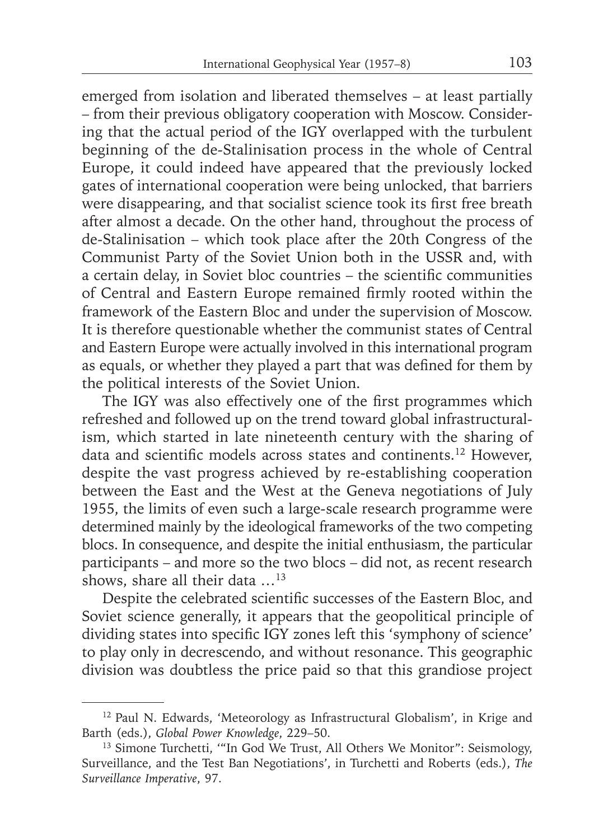emerged from isolation and liberated themselves – at least partially – from their previous obligatory cooperation with Moscow. Considering that the actual period of the IGY overlapped with the turbulent beginning of the de-Stalinisation process in the whole of Central Europe, it could indeed have appeared that the previously locked gates of international cooperation were being unlocked, that barriers were disappearing, and that socialist science took its first free breath after almost a decade. On the other hand, throughout the process of de-Stalinisation – which took place after the 20th Congress of the Communist Party of the Soviet Union both in the USSR and, with a certain delay, in Soviet bloc countries – the scientific communities of Central and Eastern Europe remained firmly rooted within the framework of the Eastern Bloc and under the supervision of Moscow. It is therefore questionable whether the communist states of Central and Eastern Europe were actually involved in this international program as equals, or whether they played a part that was defined for them by the political interests of the Soviet Union.

The IGY was also effectively one of the first programmes which refreshed and followed up on the trend toward global infrastructuralism, which started in late nineteenth century with the sharing of data and scientific models across states and continents.<sup>12</sup> However, despite the vast progress achieved by re-establishing cooperation between the East and the West at the Geneva negotiations of July 1955, the limits of even such a large-scale research programme were determined mainly by the ideological frameworks of the two competing blocs. In consequence, and despite the initial enthusiasm, the particular participants – and more so the two blocs – did not, as recent research shows, share all their data …13

Despite the celebrated scientific successes of the Eastern Bloc, and Soviet science generally, it appears that the geopolitical principle of dividing states into specific IGY zones left this 'symphony of science' to play only in decrescendo, and without resonance. This geographic division was doubtless the price paid so that this grandiose project

<sup>12</sup> Paul N. Edwards, 'Meteorology as Infrastructural Globalism', in Krige and Barth (eds.), *Global Power Knowledge*, 229–50.

<sup>&</sup>lt;sup>13</sup> Simone Turchetti, "In God We Trust, All Others We Monitor": Seismology, Surveillance, and the Test Ban Negotiations', in Turchetti and Roberts (eds.), *The Surveillance Imperative*, 97.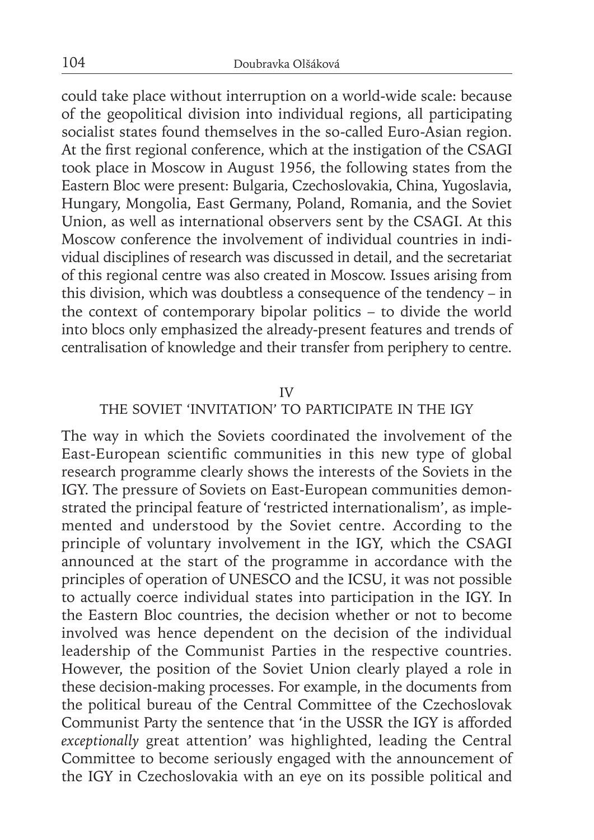could take place without interruption on a world-wide scale: because of the geopolitical division into individual regions, all participating socialist states found themselves in the so-called Euro-Asian region. At the first regional conference, which at the instigation of the CSAGI took place in Moscow in August 1956, the following states from the Eastern Bloc were present: Bulgaria, Czechoslovakia, China, Yugoslavia, Hungary, Mongolia, East Germany, Poland, Romania, and the Soviet Union, as well as international observers sent by the CSAGI. At this Moscow conference the involvement of individual countries in individual disciplines of research was discussed in detail, and the secretariat of this regional centre was also created in Moscow. Issues arising from this division, which was doubtless a consequence of the tendency – in the context of contemporary bipolar politics – to divide the world into blocs only emphasized the already-present features and trends of centralisation of knowledge and their transfer from periphery to centre.

#### IV

# THE SOVIET 'INVITATION' TO PARTICIPATE IN THE IGY

The way in which the Soviets coordinated the involvement of the East-European scientific communities in this new type of global research programme clearly shows the interests of the Soviets in the IGY. The pressure of Soviets on East-European communities demonstrated the principal feature of 'restricted internationalism', as implemented and understood by the Soviet centre. According to the principle of voluntary involvement in the IGY, which the CSAGI announced at the start of the programme in accordance with the principles of operation of UNESCO and the ICSU, it was not possible to actually coerce individual states into participation in the IGY. In the Eastern Bloc countries, the decision whether or not to become involved was hence dependent on the decision of the individual leadership of the Communist Parties in the respective countries. However, the position of the Soviet Union clearly played a role in these decision-making processes. For example, in the documents from the political bureau of the Central Committee of the Czechoslovak Communist Party the sentence that 'in the USSR the IGY is afforded *exceptionally* great attention' was highlighted, leading the Central Committee to become seriously engaged with the announcement of the IGY in Czechoslovakia with an eye on its possible political and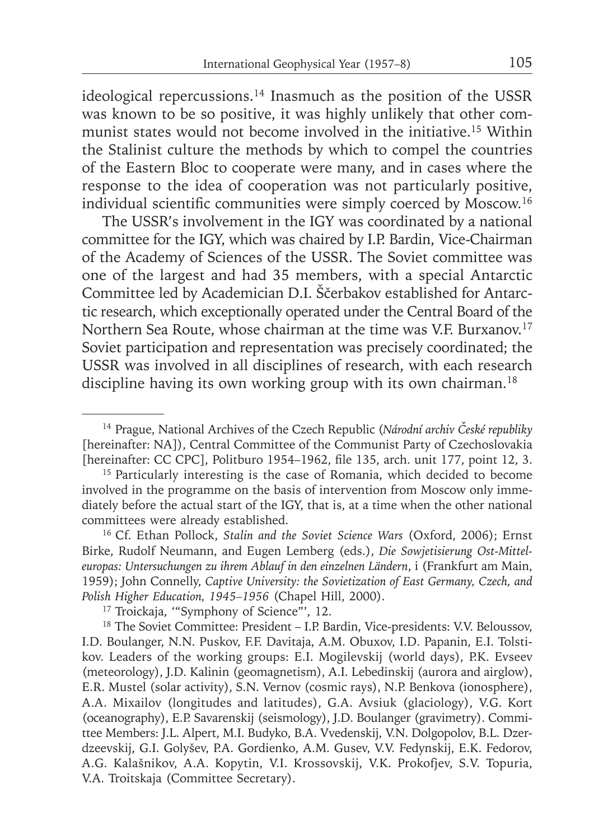ideological repercussions.<sup>14</sup> Inasmuch as the position of the USSR was known to be so positive, it was highly unlikely that other communist states would not become involved in the initiative.15 Within the Stalinist culture the methods by which to compel the countries of the Eastern Bloc to cooperate were many, and in cases where the response to the idea of cooperation was not particularly positive, individual scientific communities were simply coerced by Moscow.<sup>16</sup>

The USSR's involvement in the IGY was coordinated by a national committee for the IGY, which was chaired by I.P. Bardin, Vice-Chairman of the Academy of Sciences of the USSR. The Soviet committee was one of the largest and had 35 members, with a special Antarctic Committee led by Academician D.I. Ščerbakov established for Antarctic research, which exceptionally operated under the Central Board of the Northern Sea Route, whose chairman at the time was V.F. Burxanov.<sup>17</sup> Soviet participation and representation was precisely coordinated; the USSR was involved in all disciplines of research, with each research discipline having its own working group with its own chairman.<sup>18</sup>

16 Cf. Ethan Pollock, *Stalin and the Soviet Science Wars* (Oxford, 2006); Ernst Birke, Rudolf Neumann, and Eugen Lemberg (eds.), *Die Sowjetisierung Ost-Mitteleuropas: Untersuchungen zu ihrem Ablauf in den einzelnen Ländern*, i (Frankfurt am Main, 1959); John Connelly, *Captive University: the Sovietization of East Germany, Czech, and Polish Higher Education, 1945–1956* (Chapel Hill, 2000).

<sup>17</sup> Troickaja, "Symphony of Science", 12.

<sup>14</sup> Prague, National Archives of the Czech Republic (*Národní archiv České republiky* [hereinafter: NA]), Central Committee of the Communist Party of Czechoslovakia [hereinafter: CC CPC], Politburo 1954-1962, file 135, arch. unit 177, point 12, 3.

<sup>&</sup>lt;sup>15</sup> Particularly interesting is the case of Romania, which decided to become involved in the programme on the basis of intervention from Moscow only immediately before the actual start of the IGY, that is, at a time when the other national committees were already established.

<sup>&</sup>lt;sup>18</sup> The Soviet Committee: President – I.P. Bardin, Vice-presidents: V.V. Beloussov, I.D. Boulanger, N.N. Puskov, F.F. Davitaja, A.M. Obuxov, I.D. Papanin, E.I. Tolstikov. Leaders of the working groups: E.I. Mogilevskij (world days), P.K. Evseev (meteorology), J.D. Kalinin (geomagnetism), A.I. Lebedinskij (aurora and airglow), E.R. Mustel (solar activity), S.N. Vernov (cosmic rays), N.P. Benkova (ionosphere), A.A. Mixailov (longitudes and latitudes), G.A. Avsiuk (glaciology), V.G. Kort (oceanography), E.P. Savarenskij (seismology), J.D. Boulanger (gravimetry). Committee Members: J.L. Alpert, M.I. Budyko, B.A. Vvedenskij, V.N. Dolgopolov, B.L. Dzerdzeevskij, G.I. Golyšev, P.A. Gordienko, A.M. Gusev, V.V. Fedynskij, E.K. Fedorov, A.G. Kalašnikov, A.A. Kopytin, V.I. Krossovskij, V.K. Prokofjev, S.V. Topuria, V.A. Troitskaja (Committee Secretary).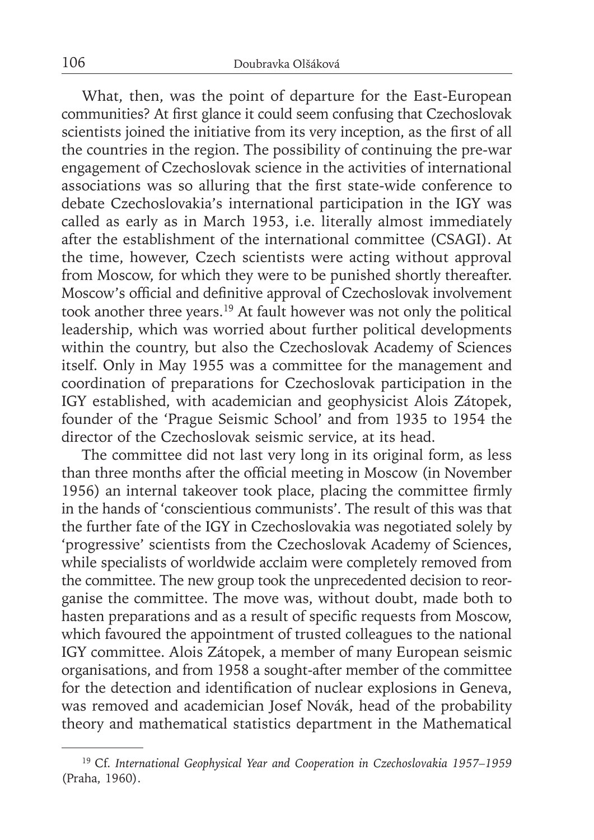What, then, was the point of departure for the East-European communities? At first glance it could seem confusing that Czechoslovak scientists joined the initiative from its very inception, as the first of all the countries in the region. The possibility of continuing the pre-war engagement of Czechoslovak science in the activities of international associations was so alluring that the first state-wide conference to debate Czechoslovakia's international participation in the IGY was called as early as in March 1953, i.e. literally almost immediately after the establishment of the international committee (CSAGI). At the time, however, Czech scientists were acting without approval from Moscow, for which they were to be punished shortly thereafter. Moscow's official and definitive approval of Czechoslovak involvement took another three years.19 At fault however was not only the political leadership, which was worried about further political developments within the country, but also the Czechoslovak Academy of Sciences itself. Only in May 1955 was a committee for the management and coordination of preparations for Czechoslovak participation in the IGY established, with academician and geophysicist Alois Zátopek, founder of the 'Prague Seismic School' and from 1935 to 1954 the director of the Czechoslovak seismic service, at its head.

The committee did not last very long in its original form, as less than three months after the official meeting in Moscow (in November 1956) an internal takeover took place, placing the committee firmly in the hands of 'conscientious communists'. The result of this was that the further fate of the IGY in Czechoslovakia was negotiated solely by 'progressive' scientists from the Czechoslovak Academy of Sciences, while specialists of worldwide acclaim were completely removed from the committee. The new group took the unprecedented decision to reorganise the committee. The move was, without doubt, made both to hasten preparations and as a result of specific requests from Moscow, which favoured the appointment of trusted colleagues to the national IGY committee. Alois Zátopek, a member of many European seismic organisations, and from 1958 a sought-after member of the committee for the detection and identification of nuclear explosions in Geneva, was removed and academician Josef Novák, head of the probability theory and mathematical statistics department in the Mathematical

<sup>19</sup> Cf. *International Geophysical Year and Cooperation in Czechoslovakia 1957–1959*  (Praha, 1960).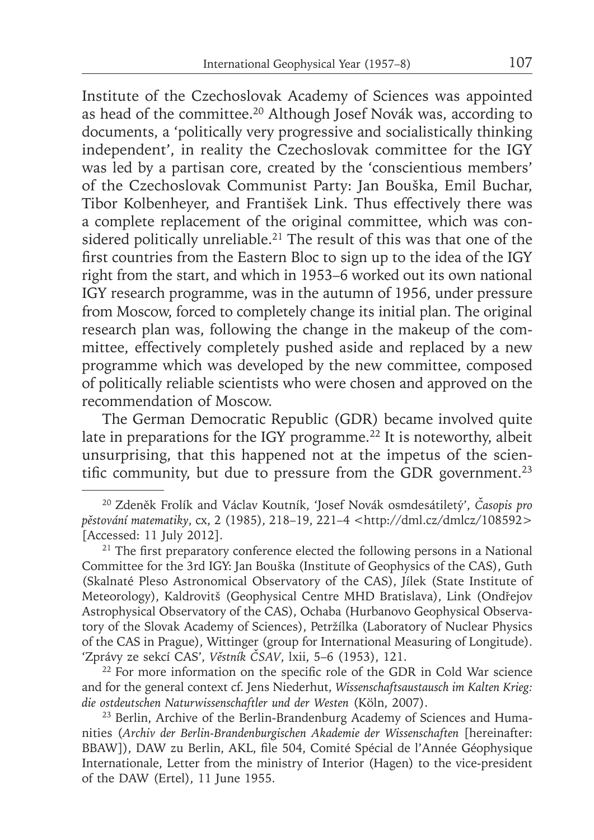Institute of the Czechoslovak Academy of Sciences was appointed as head of the committee.20 Although Josef Novák was, according to documents, a 'politically very progressive and socialistically thinking independent', in reality the Czechoslovak committee for the IGY was led by a partisan core, created by the 'conscientious members' of the Czechoslovak Communist Party: Jan Bouška, Emil Buchar, Tibor Kolbenheyer, and František Link. Thus effectively there was a complete replacement of the original committee, which was considered politically unreliable.<sup>21</sup> The result of this was that one of the first countries from the Eastern Bloc to sign up to the idea of the IGY right from the start, and which in 1953–6 worked out its own national IGY research programme, was in the autumn of 1956, under pressure from Moscow, forced to completely change its initial plan. The original research plan was, following the change in the makeup of the committee, effectively completely pushed aside and replaced by a new programme which was developed by the new committee, composed of politically reliable scientists who were chosen and approved on the recommendation of Moscow.

The German Democratic Republic (GDR) became involved quite late in preparations for the IGY programme.<sup>22</sup> It is noteworthy, albeit unsurprising, that this happened not at the impetus of the scientific community, but due to pressure from the GDR government.<sup>23</sup>

 $22$  For more information on the specific role of the GDR in Cold War science and for the general context cf. Jens Niederhut, *Wissenschaftsaustausch im Kalten Krieg: die ostdeutschen Naturwissenschaftler und der Westen* (Köln, 2007).

<sup>20</sup> Zdeněk Frolík and Václav Koutník, 'Josef Novák osmdesátiletý', *Časopis pro pěstování matematiky*, cx, 2 (1985), 218–19, 221–4 <http://dml.cz/dmlcz/108592> [Accessed: 11 July 2012].

 $21$  The first preparatory conference elected the following persons in a National Committee for the 3rd IGY: Jan Bouška (Institute of Geophysics of the CAS), Guth (Skalnaté Pleso Astronomical Observatory of the CAS), Jílek (State Institute of Meteorology), Kaldrovitš (Geophysical Centre MHD Bratislava), Link (Ondřejov Astrophysical Observatory of the CAS), Ochaba (Hurbanovo Geophysical Observatory of the Slovak Academy of Sciences), Petržílka (Laboratory of Nuclear Physics of the CAS in Prague), Wittinger (group for International Measuring of Longitude). 'Zprávy ze sekcí CAS', *Věstník ČSAV*, lxii, 5–6 (1953), 121.

<sup>23</sup> Berlin, Archive of the Berlin-Brandenburg Academy of Sciences and Humanities (*Archiv der Berlin-Brandenburgischen Akademie der Wissenschaften* [hereinafter: BBAW]), DAW zu Berlin, AKL, file 504, Comité Spécial de l'Année Géophysique Internationale, Letter from the ministry of Interior (Hagen) to the vice-president of the DAW (Ertel), 11 June 1955.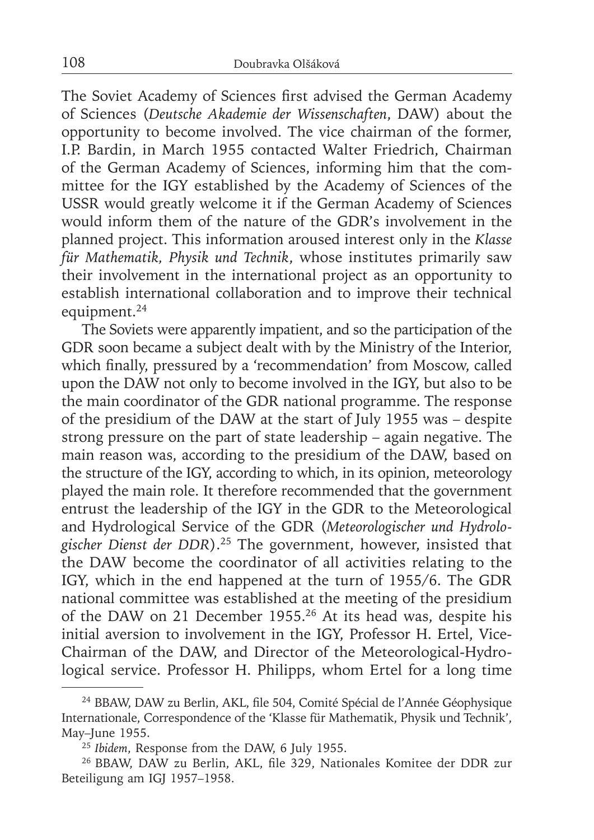The Soviet Academy of Sciences first advised the German Academy of Sciences (*Deutsche Akademie der Wissenschaften*, DAW) about the opportunity to become involved. The vice chairman of the former, I.P. Bardin, in March 1955 contacted Walter Friedrich, Chairman of the German Academy of Sciences, informing him that the committee for the IGY established by the Academy of Sciences of the USSR would greatly welcome it if the German Academy of Sciences would inform them of the nature of the GDR's involvement in the planned project. This information aroused interest only in the *Klasse für Mathematik, Physik und Technik*, whose institutes primarily saw their involvement in the international project as an opportunity to establish international collaboration and to improve their technical equipment.24

The Soviets were apparently impatient, and so the participation of the GDR soon became a subject dealt with by the Ministry of the Interior, which finally, pressured by a 'recommendation' from Moscow, called upon the DAW not only to become involved in the IGY, but also to be the main coordinator of the GDR national programme. The response of the presidium of the DAW at the start of July 1955 was – despite strong pressure on the part of state leadership – again negative. The main reason was, according to the presidium of the DAW, based on the structure of the IGY, according to which, in its opinion, meteorology played the main role. It therefore recommended that the government entrust the leadership of the IGY in the GDR to the Meteorological and Hydrological Service of the GDR (*Meteorologischer und Hydrologischer Dienst der DDR*).25 The government, however, insisted that the DAW become the coordinator of all activities relating to the IGY, which in the end happened at the turn of 1955/6. The GDR national committee was established at the meeting of the presidium of the DAW on 21 December 1955.26 At its head was, despite his initial aversion to involvement in the IGY, Professor H. Ertel, Vice-Chairman of the DAW, and Director of the Meteorological-Hydrological service. Professor H. Philipps, whom Ertel for a long time

<sup>&</sup>lt;sup>24</sup> BBAW, DAW zu Berlin, AKL, file 504, Comité Spécial de l'Année Géophysique Internationale, Correspondence of the 'Klasse für Mathematik, Physik und Technik', May–June 1955.

<sup>&</sup>lt;sup>25</sup> Ibidem, Response from the DAW, 6 July 1955.

<sup>&</sup>lt;sup>26</sup> BBAW, DAW zu Berlin, AKL, file 329, Nationales Komitee der DDR zur Beteiligung am IGJ 1957–1958.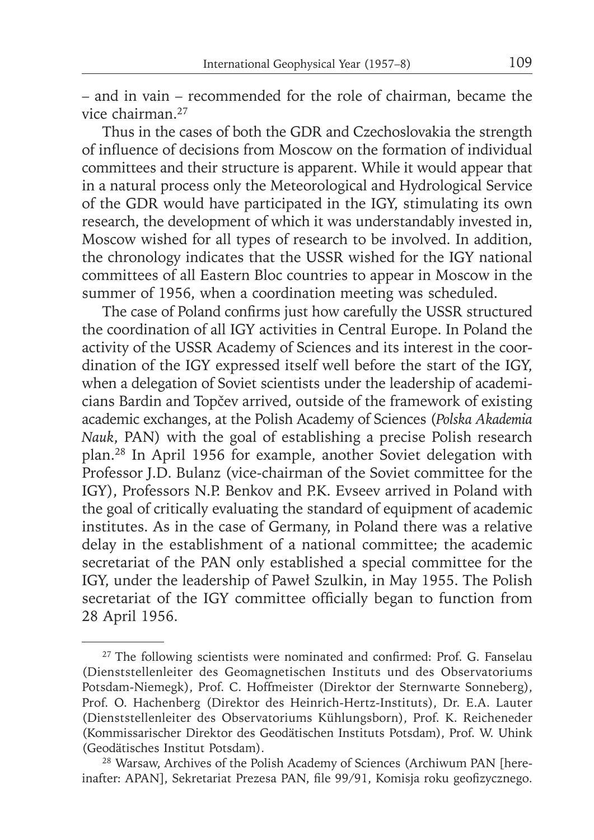– and in vain – recommended for the role of chairman, became the vice chairman.27

Thus in the cases of both the GDR and Czechoslovakia the strength of influence of decisions from Moscow on the formation of individual committees and their structure is apparent. While it would appear that in a natural process only the Meteorological and Hydrological Service of the GDR would have participated in the IGY, stimulating its own research, the development of which it was understandably invested in, Moscow wished for all types of research to be involved. In addition, the chronology indicates that the USSR wished for the IGY national committees of all Eastern Bloc countries to appear in Moscow in the summer of 1956, when a coordination meeting was scheduled.

The case of Poland confirms just how carefully the USSR structured the coordination of all IGY activities in Central Europe. In Poland the activity of the USSR Academy of Sciences and its interest in the coordination of the IGY expressed itself well before the start of the IGY, when a delegation of Soviet scientists under the leadership of academicians Bardin and Topčev arrived, outside of the framework of existing academic exchanges, at the Polish Academy of Sciences (*Polska Akademia Nauk*, PAN) with the goal of establishing a precise Polish research plan.28 In April 1956 for example, another Soviet delegation with Professor J.D. Bulanz (vice-chairman of the Soviet committee for the IGY), Professors N.P. Benkov and P.K. Evseev arrived in Poland with the goal of critically evaluating the standard of equipment of academic institutes. As in the case of Germany, in Poland there was a relative delay in the establishment of a national committee; the academic secretariat of the PAN only established a special committee for the IGY, under the leadership of Paweł Szulkin, in May 1955. The Polish secretariat of the IGY committee officially began to function from 28 April 1956.

 $27$  The following scientists were nominated and confirmed: Prof. G. Fanselau (Dienststellenleiter des Geomagnetischen Instituts und des Observatoriums Potsdam-Niemegk), Prof. C. Hoffmeister (Direktor der Sternwarte Sonneberg), Prof. O. Hachenberg (Direktor des Heinrich-Hertz-Instituts), Dr. E.A. Lauter (Dienststellenleiter des Observatoriums Kühlungsborn), Prof. K. Reicheneder (Kommissarischer Direktor des Geodätischen Instituts Potsdam), Prof. W. Uhink (Geodätisches Institut Potsdam).

<sup>28</sup> Warsaw, Archives of the Polish Academy of Sciences (Archiwum PAN [hereinafter: APAN], Sekretariat Prezesa PAN, file 99/91, Komisja roku geofizycznego.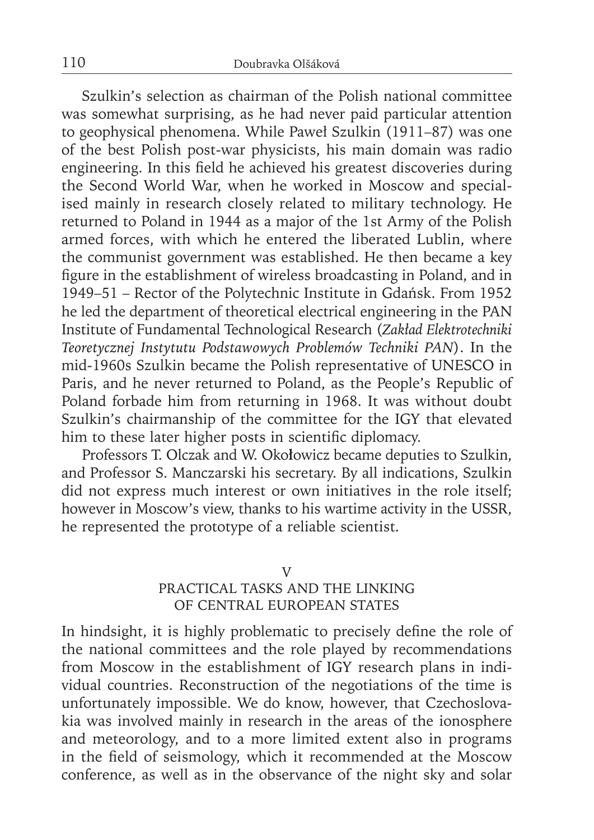Szulkin's selection as chairman of the Polish national committee was somewhat surprising, as he had never paid particular attention to geophysical phenomena. While Paweł Szulkin (1911–87) was one of the best Polish post-war physicists, his main domain was radio engineering. In this field he achieved his greatest discoveries during the Second World War, when he worked in Moscow and specialised mainly in research closely related to military technology. He returned to Poland in 1944 as a major of the 1st Army of the Polish armed forces, with which he entered the liberated Lublin, where the communist government was established. He then became a key figure in the establishment of wireless broadcasting in Poland, and in 1949–51 – Rector of the Polytechnic Institute in Gdańsk. From 1952 he led the department of theoretical electrical engineering in the PAN Institute of Fundamental Technological Research (*Zakład Elektrotechniki Teoretycznej Instytutu Podstawowych Problemów Techniki PAN*). In the mid-1960s Szulkin became the Polish representative of UNESCO in Paris, and he never returned to Poland, as the People's Republic of Poland forbade him from returning in 1968. It was without doubt Szulkin's chairmanship of the committee for the IGY that elevated him to these later higher posts in scientific diplomacy.

Professors T. Olczak and W. Oko**ł**owicz became deputies to Szulkin, and Professor S. Manczarski his secretary. By all indications, Szulkin did not express much interest or own initiatives in the role itself; however in Moscow's view, thanks to his wartime activity in the USSR, he represented the prototype of a reliable scientist.

## V

# PRACTICAL TASKS AND THE LINKING OF CENTRAL EUROPEAN STATES

In hindsight, it is highly problematic to precisely define the role of the national committees and the role played by recommendations from Moscow in the establishment of IGY research plans in individual countries. Reconstruction of the negotiations of the time is unfortunately impossible. We do know, however, that Czechoslovakia was involved mainly in research in the areas of the ionosphere and meteorology, and to a more limited extent also in programs in the field of seismology, which it recommended at the Moscow conference, as well as in the observance of the night sky and solar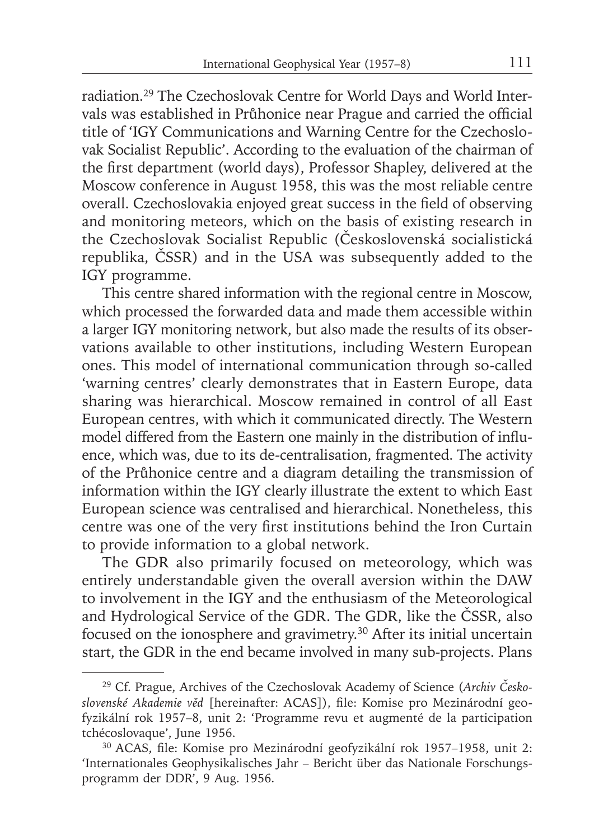radiation.29 The Czechoslovak Centre for World Days and World Intervals was established in Průhonice near Prague and carried the official title of 'IGY Communications and Warning Centre for the Czechoslovak Socialist Republic'. According to the evaluation of the chairman of the first department (world days), Professor Shapley, delivered at the Moscow conference in August 1958, this was the most reliable centre overall. Czechoslovakia enjoyed great success in the field of observing and monitoring meteors, which on the basis of existing research in the Czechoslovak Socialist Republic (Československá socialistická republika, ČSSR) and in the USA was subsequently added to the IGY programme.

This centre shared information with the regional centre in Moscow, which processed the forwarded data and made them accessible within a larger IGY monitoring network, but also made the results of its observations available to other institutions, including Western European ones. This model of international communication through so-called 'warning centres' clearly demonstrates that in Eastern Europe, data sharing was hierarchical. Moscow remained in control of all East European centres, with which it communicated directly. The Western model differed from the Eastern one mainly in the distribution of influence, which was, due to its de-centralisation, fragmented. The activity of the Průhonice centre and a diagram detailing the transmission of information within the IGY clearly illustrate the extent to which East European science was centralised and hierarchical. Nonetheless, this centre was one of the very first institutions behind the Iron Curtain to provide information to a global network.

The GDR also primarily focused on meteorology, which was entirely understandable given the overall aversion within the DAW to involvement in the IGY and the enthusiasm of the Meteorological and Hydrological Service of the GDR. The GDR, like the ČSSR, also focused on the ionosphere and gravimetry.30 After its initial uncertain start, the GDR in the end became involved in many sub-projects. Plans

<sup>29</sup> Cf. Prague, Archives of the Czechoslovak Academy of Science (*Archiv Československé Akademie věd* [hereinafter: ACAS]), fi le: Komise pro Mezinárodní geofyzikální rok 1957–8, unit 2: 'Programme revu et augmenté de la participation tchécoslovaque', June 1956.

<sup>&</sup>lt;sup>30</sup> ACAS, file: Komise pro Mezinárodní geofyzikální rok 1957–1958, unit 2: 'Internationales Geophysikalisches Jahr – Bericht über das Nationale Forschungsprogramm der DDR', 9 Aug. 1956.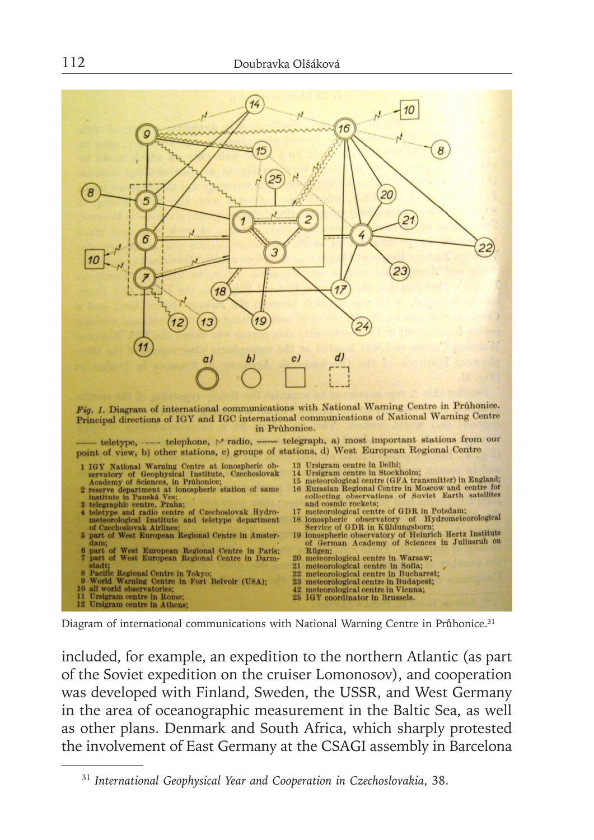

Diagram of international communications with National Warning Centre in Průhonice.<sup>31</sup>

included, for example, an expedition to the northern Atlantic (as part of the Soviet expedition on the cruiser Lomonosov), and cooperation was developed with Finland, Sweden, the USSR, and West Germany in the area of oceanographic measurement in the Baltic Sea, as well as other plans. Denmark and South Africa, which sharply protested the involvement of East Germany at the CSAGI assembly in Barcelona

<sup>31</sup> *International Geophysical Year and Cooperation in Czechoslovakia*, 38.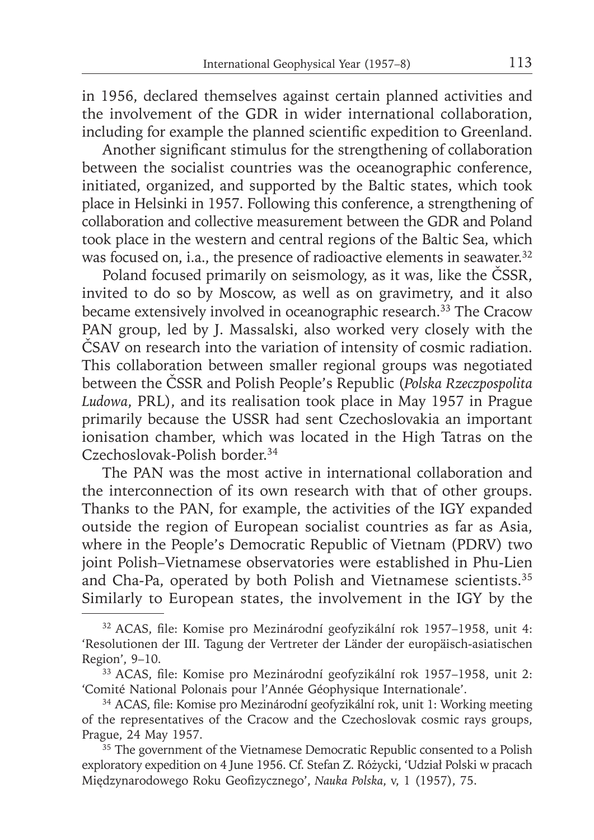in 1956, declared themselves against certain planned activities and the involvement of the GDR in wider international collaboration, including for example the planned scientific expedition to Greenland.

Another significant stimulus for the strengthening of collaboration between the socialist countries was the oceanographic conference, initiated, organized, and supported by the Baltic states, which took place in Helsinki in 1957. Following this conference, a strengthening of collaboration and collective measurement between the GDR and Poland took place in the western and central regions of the Baltic Sea, which was focused on, i.a., the presence of radioactive elements in seawater.<sup>32</sup>

Poland focused primarily on seismology, as it was, like the ČSSR, invited to do so by Moscow, as well as on gravimetry, and it also became extensively involved in oceanographic research.<sup>33</sup> The Cracow PAN group, led by J. Massalski, also worked very closely with the ČSAV on research into the variation of intensity of cosmic radiation. This collaboration between smaller regional groups was negotiated between the ČSSR and Polish People's Republic (*Polska Rzeczpospolita Ludowa*, PRL), and its realisation took place in May 1957 in Prague primarily because the USSR had sent Czechoslovakia an important ionisation chamber, which was located in the High Tatras on the Czechoslovak-Polish border.34

The PAN was the most active in international collaboration and the interconnection of its own research with that of other groups. Thanks to the PAN, for example, the activities of the IGY expanded outside the region of European socialist countries as far as Asia, where in the People's Democratic Republic of Vietnam (PDRV) two joint Polish–Vietnamese observatories were established in Phu-Lien and Cha-Pa, operated by both Polish and Vietnamese scientists.<sup>35</sup> Similarly to European states, the involvement in the IGY by the

<sup>&</sup>lt;sup>32</sup> ACAS, file: Komise pro Mezinárodní geofyzikální rok 1957–1958, unit 4: 'Resolutionen der III. Tagung der Vertreter der Länder der europäisch-asiatischen Region', 9–10.

<sup>&</sup>lt;sup>33</sup> ACAS, file: Komise pro Mezinárodní geofyzikální rok 1957–1958, unit 2: 'Comité National Polonais pour l'Année Géophysique Internationale'.

<sup>&</sup>lt;sup>34</sup> ACAS, file: Komise pro Mezinárodní geofyzikální rok, unit 1: Working meeting of the representatives of the Cracow and the Czechoslovak cosmic rays groups, Prague, 24 May 1957.

 $35$  The government of the Vietnamese Democratic Republic consented to a Polish exploratory expedition on 4 June 1956. Cf. Stefan Z. Różycki, 'Udział Polski w pracach Międzynarodowego Roku Geofizycznego', *Nauka Polska*, v, 1 (1957), 75.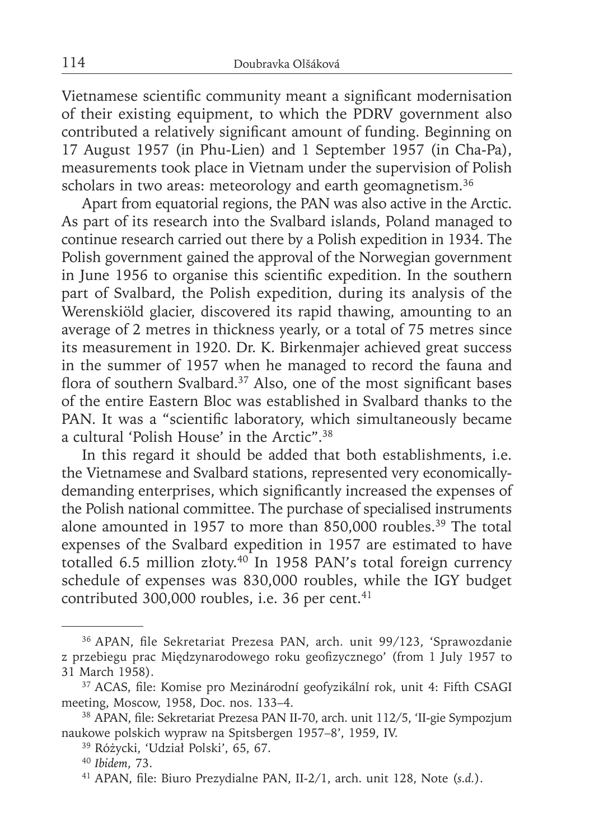Vietnamese scientific community meant a significant modernisation of their existing equipment, to which the PDRV government also contributed a relatively significant amount of funding. Beginning on 17 August 1957 (in Phu-Lien) and 1 September 1957 (in Cha-Pa), measurements took place in Vietnam under the supervision of Polish scholars in two areas: meteorology and earth geomagnetism.<sup>36</sup>

Apart from equatorial regions, the PAN was also active in the Arctic. As part of its research into the Svalbard islands, Poland managed to continue research carried out there by a Polish expedition in 1934. The Polish government gained the approval of the Norwegian government in June 1956 to organise this scientific expedition. In the southern part of Svalbard, the Polish expedition, during its analysis of the Werenskiöld glacier, discovered its rapid thawing, amounting to an average of 2 metres in thickness yearly, or a total of 75 metres since its measurement in 1920. Dr. K. Birkenmajer achieved great success in the summer of 1957 when he managed to record the fauna and flora of southern Svalbard.<sup>37</sup> Also, one of the most significant bases of the entire Eastern Bloc was established in Svalbard thanks to the PAN. It was a "scientific laboratory, which simultaneously became a cultural 'Polish House' in the Arctic".38

In this regard it should be added that both establishments, i.e. the Vietnamese and Svalbard stations, represented very economicallydemanding enterprises, which significantly increased the expenses of the Polish national committee. The purchase of specialised instruments alone amounted in 1957 to more than 850,000 roubles.39 The total expenses of the Svalbard expedition in 1957 are estimated to have totalled 6.5 million złoty.<sup>40</sup> In 1958 PAN's total foreign currency schedule of expenses was 830,000 roubles, while the IGY budget contributed 300,000 roubles, i.e. 36 per cent.<sup>41</sup>

<sup>&</sup>lt;sup>36</sup> APAN, file Sekretariat Prezesa PAN, arch. unit 99/123, 'Sprawozdanie z przebiegu prac Międzynarodowego roku geofizycznego' (from 1 July 1957 to 31 March 1958).

<sup>&</sup>lt;sup>37</sup> ACAS, file: Komise pro Mezinárodní geofyzikální rok, unit 4: Fifth CSAGI meeting, Moscow, 1958, Doc. nos. 133–4.

<sup>&</sup>lt;sup>38</sup> APAN, file: Sekretariat Prezesa PAN II-70, arch. unit 112/5, 'II-gie Sympozjum naukowe polskich wypraw na Spitsbergen 1957–8', 1959, IV.

<sup>39</sup> Różycki, 'Udział Polski', 65, 67.

<sup>40</sup>*Ibidem*, 73.

<sup>&</sup>lt;sup>41</sup> APAN, file: Biuro Prezydialne PAN, II-2/1, arch. unit 128, Note (s.d.).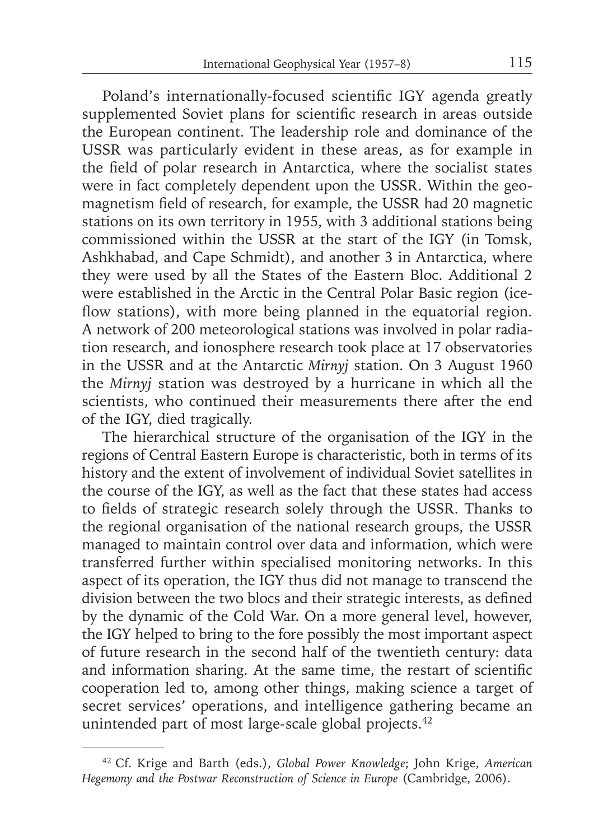Poland's internationally-focused scientific IGY agenda greatly supplemented Soviet plans for scientific research in areas outside the European continent. The leadership role and dominance of the USSR was particularly evident in these areas, as for example in the field of polar research in Antarctica, where the socialist states were in fact completely dependent upon the USSR. Within the geomagnetism field of research, for example, the USSR had 20 magnetic stations on its own territory in 1955, with 3 additional stations being commissioned within the USSR at the start of the IGY (in Tomsk, Ashkhabad, and Cape Schmidt), and another 3 in Antarctica, where they were used by all the States of the Eastern Bloc. Additional 2 were established in the Arctic in the Central Polar Basic region (iceflow stations), with more being planned in the equatorial region. A network of 200 meteorological stations was involved in polar radiation research, and ionosphere research took place at 17 observatories in the USSR and at the Antarctic *Mirnyj* station. On 3 August 1960 the *Mirnyj* station was destroyed by a hurricane in which all the scientists, who continued their measurements there after the end of the IGY, died tragically.

The hierarchical structure of the organisation of the IGY in the regions of Central Eastern Europe is characteristic, both in terms of its history and the extent of involvement of individual Soviet satellites in the course of the IGY, as well as the fact that these states had access to fields of strategic research solely through the USSR. Thanks to the regional organisation of the national research groups, the USSR managed to maintain control over data and information, which were transferred further within specialised monitoring networks. In this aspect of its operation, the IGY thus did not manage to transcend the division between the two blocs and their strategic interests, as defined by the dynamic of the Cold War. On a more general level, however, the IGY helped to bring to the fore possibly the most important aspect of future research in the second half of the twentieth century: data and information sharing. At the same time, the restart of scientific cooperation led to, among other things, making science a target of secret services' operations, and intelligence gathering became an unintended part of most large-scale global projects.<sup>42</sup>

<sup>42</sup> Cf. Krige and Barth (eds.), *Global Power Knowledge*; John Krige, *American Hegemony and the Postwar Reconstruction of Science in Europe* (Cambridge, 2006).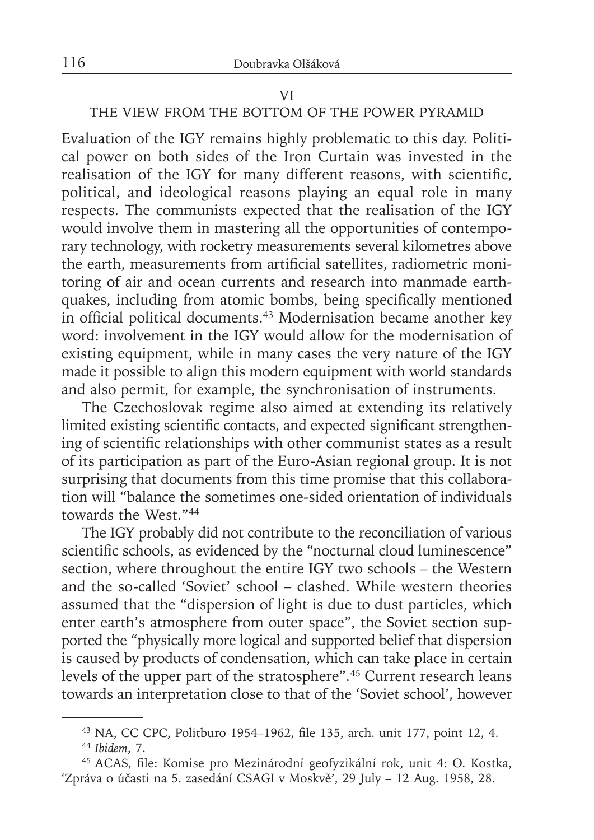#### VI

# THE VIEW FROM THE BOTTOM OF THE POWER PYRAMID

Evaluation of the IGY remains highly problematic to this day. Political power on both sides of the Iron Curtain was invested in the realisation of the IGY for many different reasons, with scientific, political, and ideological reasons playing an equal role in many respects. The communists expected that the realisation of the IGY would involve them in mastering all the opportunities of contemporary technology, with rocketry measurements several kilometres above the earth, measurements from artificial satellites, radiometric monitoring of air and ocean currents and research into manmade earthquakes, including from atomic bombs, being specifically mentioned in official political documents.<sup>43</sup> Modernisation became another key word: involvement in the IGY would allow for the modernisation of existing equipment, while in many cases the very nature of the IGY made it possible to align this modern equipment with world standards and also permit, for example, the synchronisation of instruments.

The Czechoslovak regime also aimed at extending its relatively limited existing scientific contacts, and expected significant strengthening of scientific relationships with other communist states as a result of its participation as part of the Euro-Asian regional group. It is not surprising that documents from this time promise that this collaboration will "balance the sometimes one-sided orientation of individuals towards the West."44

The IGY probably did not contribute to the reconciliation of various scientific schools, as evidenced by the "nocturnal cloud luminescence" section, where throughout the entire IGY two schools – the Western and the so-called 'Soviet' school – clashed. While western theories assumed that the "dispersion of light is due to dust particles, which enter earth's atmosphere from outer space", the Soviet section supported the "physically more logical and supported belief that dispersion is caused by products of condensation, which can take place in certain levels of the upper part of the stratosphere".45 Current research leans towards an interpretation close to that of the 'Soviet school', however

<sup>43</sup> NA, CC CPC, Politburo 1954–1962, file 135, arch. unit 177, point 12, 4.

<sup>44</sup>*Ibidem*, 7.

<sup>&</sup>lt;sup>45</sup> ACAS, file: Komise pro Mezinárodní geofyzikální rok, unit 4: O. Kostka, 'Zpráva o účasti na 5. zasedání CSAGI v Moskvě', 29 July – 12 Aug. 1958, 28.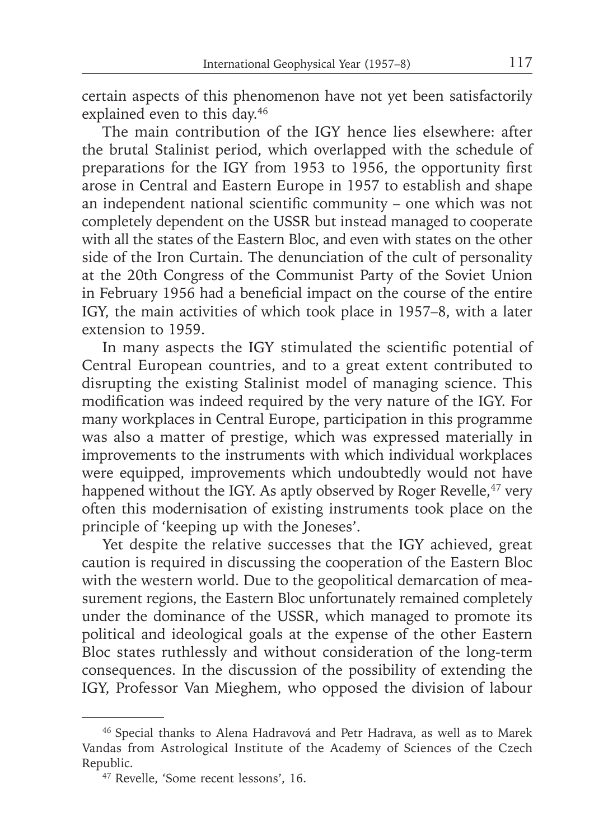certain aspects of this phenomenon have not yet been satisfactorily explained even to this day.<sup>46</sup>

The main contribution of the IGY hence lies elsewhere: after the brutal Stalinist period, which overlapped with the schedule of preparations for the IGY from 1953 to 1956, the opportunity first arose in Central and Eastern Europe in 1957 to establish and shape an independent national scientific community - one which was not completely dependent on the USSR but instead managed to cooperate with all the states of the Eastern Bloc, and even with states on the other side of the Iron Curtain. The denunciation of the cult of personality at the 20th Congress of the Communist Party of the Soviet Union in February 1956 had a beneficial impact on the course of the entire IGY, the main activities of which took place in 1957–8, with a later extension to 1959.

In many aspects the IGY stimulated the scientific potential of Central European countries, and to a great extent contributed to disrupting the existing Stalinist model of managing science. This modification was indeed required by the very nature of the IGY. For many workplaces in Central Europe, participation in this programme was also a matter of prestige, which was expressed materially in improvements to the instruments with which individual workplaces were equipped, improvements which undoubtedly would not have happened without the IGY. As aptly observed by Roger Revelle,  $47$  very often this modernisation of existing instruments took place on the principle of 'keeping up with the Joneses'.

Yet despite the relative successes that the IGY achieved, great caution is required in discussing the cooperation of the Eastern Bloc with the western world. Due to the geopolitical demarcation of measurement regions, the Eastern Bloc unfortunately remained completely under the dominance of the USSR, which managed to promote its political and ideological goals at the expense of the other Eastern Bloc states ruthlessly and without consideration of the long-term consequences. In the discussion of the possibility of extending the IGY, Professor Van Mieghem, who opposed the division of labour

<sup>46</sup> Special thanks to Alena Hadravová and Petr Hadrava, as well as to Marek Vandas from Astrological Institute of the Academy of Sciences of the Czech Republic.

<sup>47</sup> Revelle, 'Some recent lessons', 16.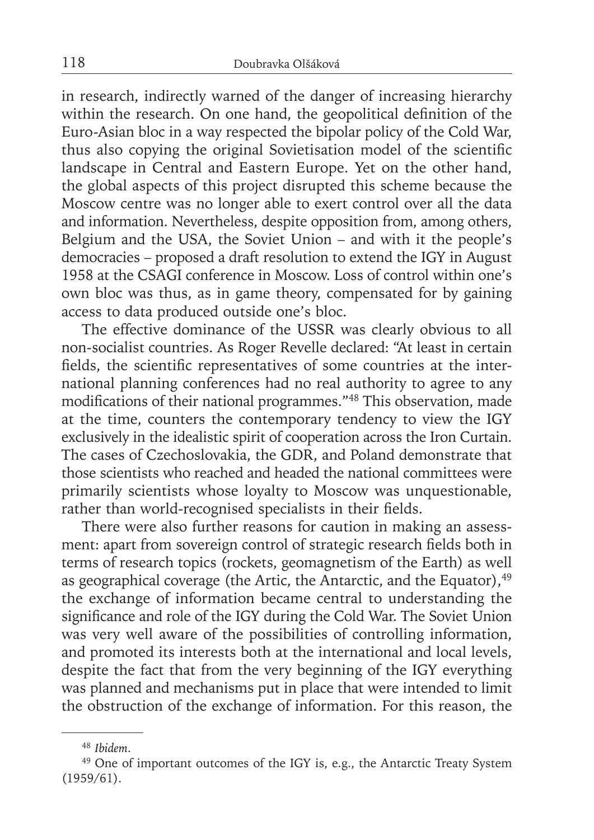in research, indirectly warned of the danger of increasing hierarchy within the research. On one hand, the geopolitical definition of the Euro-Asian bloc in a way respected the bipolar policy of the Cold War, thus also copying the original Sovietisation model of the scientific landscape in Central and Eastern Europe. Yet on the other hand, the global aspects of this project disrupted this scheme because the Moscow centre was no longer able to exert control over all the data and information. Nevertheless, despite opposition from, among others, Belgium and the USA, the Soviet Union – and with it the people's democracies – proposed a draft resolution to extend the IGY in August 1958 at the CSAGI conference in Moscow. Loss of control within one's own bloc was thus, as in game theory, compensated for by gaining access to data produced outside one's bloc.

The effective dominance of the USSR was clearly obvious to all non-socialist countries. As Roger Revelle declared: "At least in certain fields, the scientific representatives of some countries at the international planning conferences had no real authority to agree to any modifications of their national programmes."<sup>48</sup> This observation, made at the time, counters the contemporary tendency to view the IGY exclusively in the idealistic spirit of cooperation across the Iron Curtain. The cases of Czechoslovakia, the GDR, and Poland demonstrate that those scientists who reached and headed the national committees were primarily scientists whose loyalty to Moscow was unquestionable, rather than world-recognised specialists in their fields.

There were also further reasons for caution in making an assessment: apart from sovereign control of strategic research fields both in terms of research topics (rockets, geomagnetism of the Earth) as well as geographical coverage (the Artic, the Antarctic, and the Equator),  $49$ the exchange of information became central to understanding the significance and role of the IGY during the Cold War. The Soviet Union was very well aware of the possibilities of controlling information, and promoted its interests both at the international and local levels, despite the fact that from the very beginning of the IGY everything was planned and mechanisms put in place that were intended to limit the obstruction of the exchange of information. For this reason, the

<sup>48</sup>*Ibidem*.

<sup>49</sup> One of important outcomes of the IGY is, e.g., the Antarctic Treaty System (1959/61).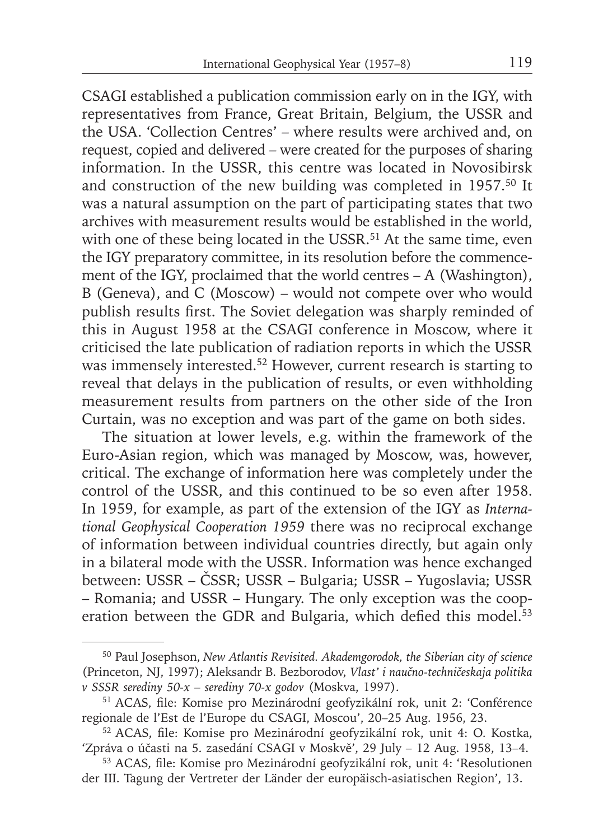CSAGI established a publication commission early on in the IGY, with representatives from France, Great Britain, Belgium, the USSR and the USA. 'Collection Centres' – where results were archived and, on request, copied and delivered – were created for the purposes of sharing information. In the USSR, this centre was located in Novosibirsk and construction of the new building was completed in 1957.50 It was a natural assumption on the part of participating states that two archives with measurement results would be established in the world, with one of these being located in the USSR.<sup>51</sup> At the same time, even the IGY preparatory committee, in its resolution before the commencement of the IGY, proclaimed that the world centres – A (Washington), B (Geneva), and C (Moscow) – would not compete over who would publish results first. The Soviet delegation was sharply reminded of this in August 1958 at the CSAGI conference in Moscow, where it criticised the late publication of radiation reports in which the USSR was immensely interested.<sup>52</sup> However, current research is starting to reveal that delays in the publication of results, or even withholding measurement results from partners on the other side of the Iron Curtain, was no exception and was part of the game on both sides.

The situation at lower levels, e.g. within the framework of the Euro-Asian region, which was managed by Moscow, was, however, critical. The exchange of information here was completely under the control of the USSR, and this continued to be so even after 1958. In 1959, for example, as part of the extension of the IGY as *International Geophysical Cooperation 1959* there was no reciprocal exchange of information between individual countries directly, but again only in a bilateral mode with the USSR. Information was hence exchanged between: USSR – ČSSR; USSR – Bulgaria; USSR – Yugoslavia; USSR – Romania; and USSR – Hungary. The only exception was the cooperation between the GDR and Bulgaria, which defied this model.<sup>53</sup>

<sup>50</sup> Paul Josephson, *New Atlantis Revisited. Akademgorodok, the Siberian city of science* (Princeton, NJ, 1997); Aleksandr B. Bezborodov, *Vlast' i naučno-techničeskaja politika v SSSR serediny 50-x – serediny 70-x godov* (Moskva, 1997).

<sup>&</sup>lt;sup>51</sup> ACAS, file: Komise pro Mezinárodní geofyzikální rok, unit 2: 'Conférence regionale de l'Est de l'Europe du CSAGI, Moscou', 20–25 Aug. 1956, 23.

<sup>&</sup>lt;sup>52</sup> ACAS, file: Komise pro Mezinárodní geofyzikální rok, unit 4: O. Kostka, 'Zpráva o účasti na 5. zasedání CSAGI v Moskvě', 29 July – 12 Aug. 1958, 13–4.

<sup>53</sup> ACAS, file: Komise pro Mezinárodní geofyzikální rok, unit 4: 'Resolutionen der III. Tagung der Vertreter der Länder der europäisch-asiatischen Region', 13.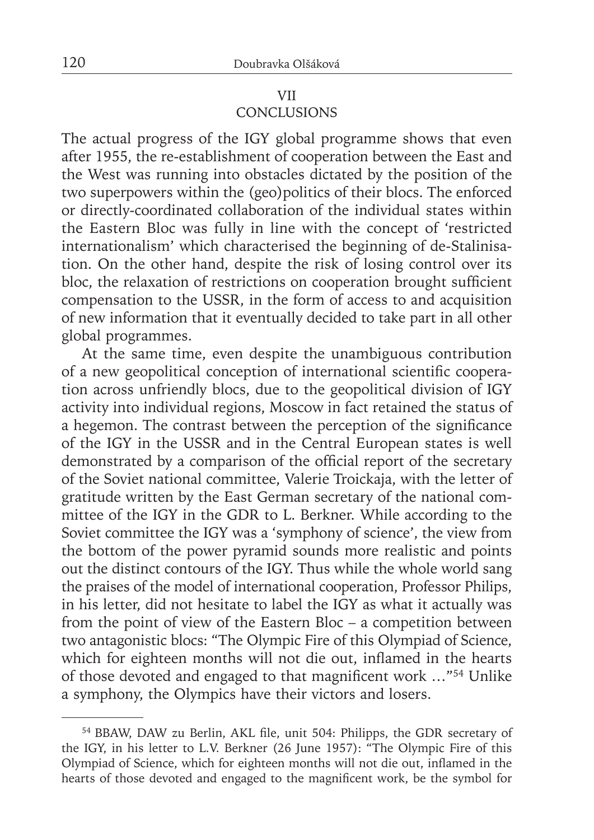### VII **CONCLUSIONS**

The actual progress of the IGY global programme shows that even after 1955, the re-establishment of cooperation between the East and the West was running into obstacles dictated by the position of the two superpowers within the (geo)politics of their blocs. The enforced or directly-coordinated collaboration of the individual states within the Eastern Bloc was fully in line with the concept of 'restricted internationalism' which characterised the beginning of de-Stalinisation. On the other hand, despite the risk of losing control over its bloc, the relaxation of restrictions on cooperation brought sufficient compensation to the USSR, in the form of access to and acquisition of new information that it eventually decided to take part in all other global programmes.

At the same time, even despite the unambiguous contribution of a new geopolitical conception of international scientific cooperation across unfriendly blocs, due to the geopolitical division of IGY activity into individual regions, Moscow in fact retained the status of a hegemon. The contrast between the perception of the significance of the IGY in the USSR and in the Central European states is well demonstrated by a comparison of the official report of the secretary of the Soviet national committee, Valerie Troickaja, with the letter of gratitude written by the East German secretary of the national committee of the IGY in the GDR to L. Berkner. While according to the Soviet committee the IGY was a 'symphony of science', the view from the bottom of the power pyramid sounds more realistic and points out the distinct contours of the IGY. Thus while the whole world sang the praises of the model of international cooperation, Professor Philips, in his letter, did not hesitate to label the IGY as what it actually was from the point of view of the Eastern Bloc – a competition between two antagonistic blocs: "The Olympic Fire of this Olympiad of Science, which for eighteen months will not die out, inflamed in the hearts of those devoted and engaged to that magnificent work ..."<sup>54</sup> Unlike a symphony, the Olympics have their victors and losers.

<sup>&</sup>lt;sup>54</sup> BBAW, DAW zu Berlin, AKL file, unit 504: Philipps, the GDR secretary of the IGY, in his letter to L.V. Berkner (26 June 1957): "The Olympic Fire of this Olympiad of Science, which for eighteen months will not die out, inflamed in the hearts of those devoted and engaged to the magnificent work, be the symbol for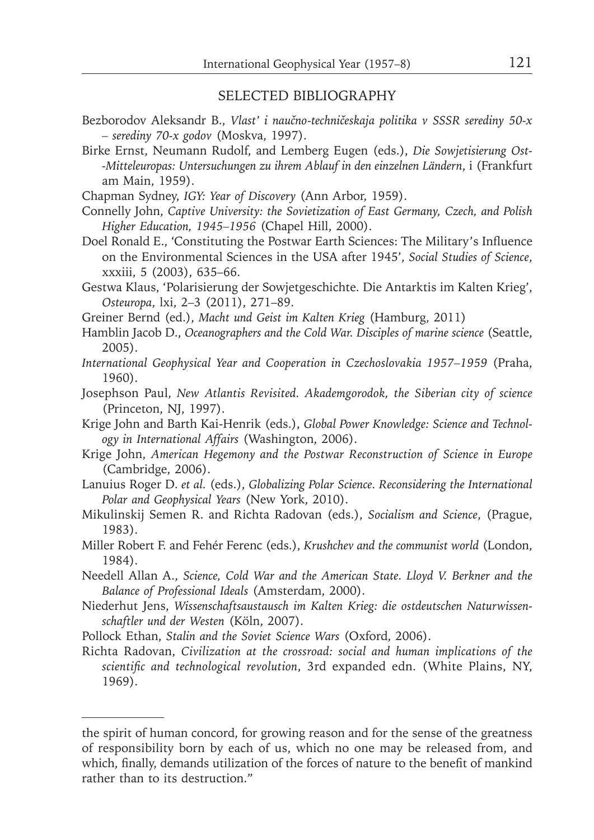### SELECTED BIBLIOGRAPHY

- Bezborodov Aleksandr B., *Vlast' i naučno-techničeskaja politika v SSSR serediny 50-x – serediny 70-x godov* (Moskva, 1997).
- Birke Ernst, Neumann Rudolf, and Lemberg Eugen (eds.), *Die Sowjetisierung Ost- -Mitteleuropas: Untersuchungen zu ihrem Ablauf in den einzelnen Ländern*, i (Frankfurt am Main, 1959).
- Chapman Sydney, *IGY: Year of Discovery* (Ann Arbor, 1959).
- Connelly John, *Captive University: the Sovietization of East Germany, Czech, and Polish Higher Education, 1945–1956* (Chapel Hill, 2000).
- Doel Ronald E., 'Constituting the Postwar Earth Sciences: The Military's Influence on the Environmental Sciences in the USA after 1945', *Social Studies of Science*, xxxiii, 5 (2003), 635–66.
- Gestwa Klaus, 'Polarisierung der Sowjetgeschichte. Die Antarktis im Kalten Krieg', *Osteuropa*, lxi, 2–3 (2011), 271–89.
- Greiner Bernd (ed.), *Macht und Geist im Kalten Krieg* (Hamburg, 2011)
- Hamblin Jacob D., *Oceanographers and the Cold War. Disciples of marine science* (Seattle, 2005).
- *International Geophysical Year and Cooperation in Czechoslovakia 1957–1959* (Praha, 1960).
- Josephson Paul, *New Atlantis Revisited. Akademgorodok, the Siberian city of science* (Princeton, NJ, 1997).
- Krige John and Barth Kai-Henrik (eds.), *Global Power Knowledge: Science and Technology in International Affairs* (Washington, 2006).
- Krige John, *American Hegemony and the Postwar Reconstruction of Science in Europe* (Cambridge, 2006).
- Lanuius Roger D. *et al.* (eds.), *Globalizing Polar Science. Reconsidering the International Polar and Geophysical Years* (New York, 2010).
- Mikulinskij Semen R. and Richta Radovan (eds.), *Socialism and Science*, (Prague, 1983).
- Miller Robert F. and Fehér Ferenc (eds.), *Krushchev and the communist world* (London, 1984).
- Needell Allan A., *Science, Cold War and the American State. Lloyd V. Berkner and the Balance of Professional Ideals* (Amsterdam, 2000).
- Niederhut Jens, *Wissenschaftsaustausch im Kalten Krieg: die ostdeutschen Naturwissenschaftler und der Westen* (Köln, 2007).
- Pollock Ethan, *Stalin and the Soviet Science Wars* (Oxford, 2006).
- Richta Radovan, *Civilization at the crossroad: social and human implications of the scientifi c and technological revolution*, 3rd expanded edn. (White Plains, NY, 1969).

the spirit of human concord, for growing reason and for the sense of the greatness of responsibility born by each of us, which no one may be released from, and which, finally, demands utilization of the forces of nature to the benefit of mankind rather than to its destruction."